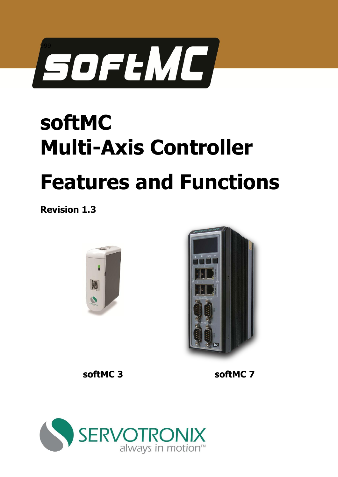

# **softMC Multi-Axis Controller Features and Functions**

**Revision 1.3** 





**softMC 3 softMC 7**

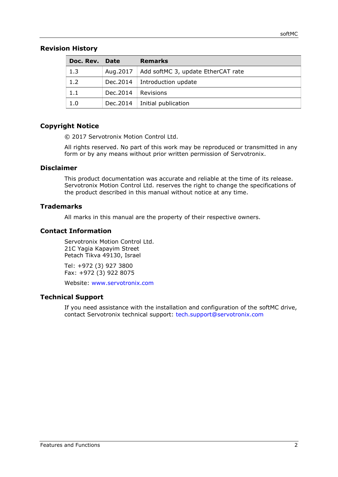#### **Revision History**

| Doc. Rev. Date |                        | <b>Remarks</b>                                |
|----------------|------------------------|-----------------------------------------------|
| 1.3            |                        | Aug.2017   Add softMC 3, update EtherCAT rate |
| 1.2            |                        | Dec. 2014   Introduction update               |
| 1.1            | $Dec.2014$   Revisions |                                               |
| 1.0            |                        | Dec. 2014   Initial publication               |

### **Copyright Notice**

© 2017 Servotronix Motion Control Ltd.

All rights reserved. No part of this work may be reproduced or transmitted in any form or by any means without prior written permission of Servotronix.

#### **Disclaimer**

This product documentation was accurate and reliable at the time of its release. Servotronix Motion Control Ltd. reserves the right to change the specifications of the product described in this manual without notice at any time.

#### **Trademarks**

All marks in this manual are the property of their respective owners.

#### **Contact Information**

Servotronix Motion Control Ltd. 21C Yagia Kapayim Street Petach Tikva 49130, Israel

Tel: +972 (3) 927 3800 Fax: +972 (3) 922 8075

Website: [www.servotronix.com](http://www.servotronix.com/) 

#### **Technical Support**

If you need assistance with the installation and configuration of the softMC drive, contact Servotronix technical support: [tech.support@servotronix.com](mailto:tech.support@servotronix.com)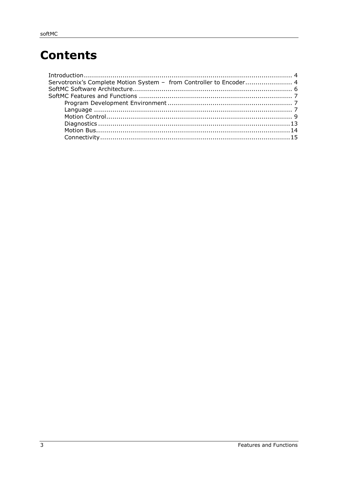## **Contents**

| Servotronix's Complete Motion System - from Controller to Encoder 4 |  |
|---------------------------------------------------------------------|--|
|                                                                     |  |
|                                                                     |  |
|                                                                     |  |
|                                                                     |  |
|                                                                     |  |
|                                                                     |  |
|                                                                     |  |
|                                                                     |  |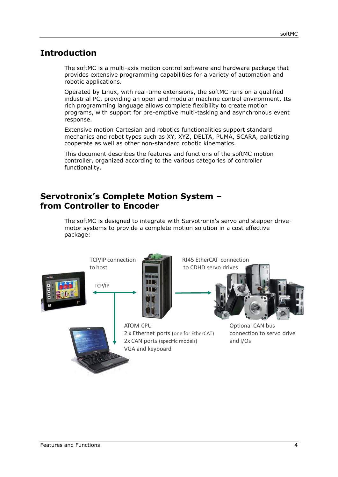## <span id="page-3-0"></span>**Introduction**

The softMC is a multi-axis motion control software and hardware package that provides extensive programming capabilities for a variety of automation and robotic applications.

Operated by Linux, with real-time extensions, the softMC runs on a qualified industrial PC, providing an open and modular machine control environment. Its rich programming language allows complete flexibility to create motion programs, with support for pre-emptive multi-tasking and asynchronous event response.

Extensive motion Cartesian and robotics functionalities support standard mechanics and robot types such as XY, XYZ, DELTA, PUMA, SCARA, palletizing cooperate as well as other non-standard robotic kinematics.

This document describes the features and functions of the softMC motion controller, organized according to the various categories of controller functionality.

## <span id="page-3-1"></span>**Servotronix's Complete Motion System – from Controller to Encoder**

The softMC is designed to integrate with Servotronix's servo and stepper drivemotor systems to provide a complete motion solution in a cost effective package:

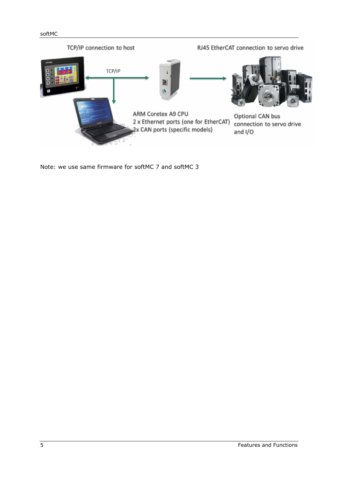#### softMC



Note: we use same firmware for softMC 7 and softMC 3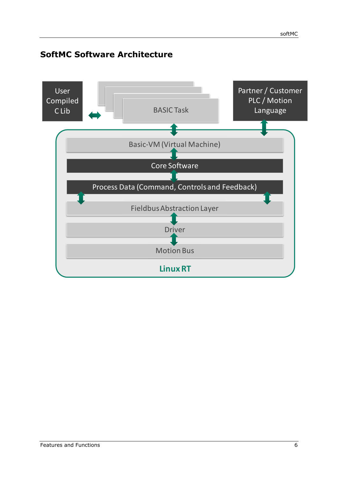## <span id="page-5-0"></span>**SoftMC Software Architecture**

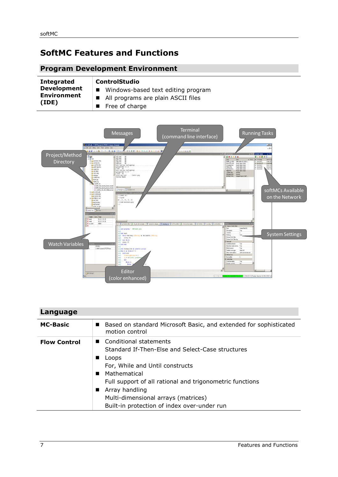## <span id="page-6-0"></span>**SoftMC Features and Functions**

## <span id="page-6-1"></span>**Program Development Environment**

| <b>Integrated</b>           | <b>ControlStudio</b>                 |
|-----------------------------|--------------------------------------|
| <b>Development</b>          | ■ Windows-based text editing program |
| <b>Environment</b><br>(IDE) | ■ All programs are plain ASCII files |
|                             | $\blacksquare$ Free of charge        |



## <span id="page-6-2"></span>**Language**

| <b>MC-Basic</b>     | Based on standard Microsoft Basic, and extended for sophisticated<br>motion control                                                                                                                                                                                                                                            |
|---------------------|--------------------------------------------------------------------------------------------------------------------------------------------------------------------------------------------------------------------------------------------------------------------------------------------------------------------------------|
| <b>Flow Control</b> | ■ Conditional statements<br>Standard If-Then-Else and Select-Case structures<br>Loops<br>For, While and Until constructs<br>Mathematical<br>Full support of all rational and trigonometric functions<br>Array handling<br>$\blacksquare$<br>Multi-dimensional arrays (matrices)<br>Built-in protection of index over-under run |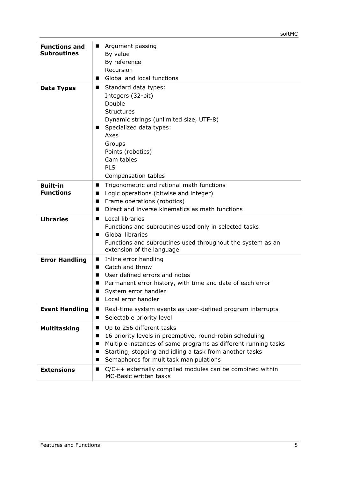| <b>Functions and</b><br><b>Subroutines</b> | Argument passing<br>ш<br>By value<br>By reference<br>Recursion<br>Global and local functions                                                                                                                                                                                          |
|--------------------------------------------|---------------------------------------------------------------------------------------------------------------------------------------------------------------------------------------------------------------------------------------------------------------------------------------|
| <b>Data Types</b>                          | Standard data types:<br>■<br>Integers (32-bit)<br>Double<br><b>Structures</b><br>Dynamic strings (unlimited size, UTF-8)<br>Specialized data types:<br>Axes<br>Groups<br>Points (robotics)<br>Cam tables<br><b>PLS</b><br>Compensation tables                                         |
| <b>Built-in</b><br><b>Functions</b>        | Trigonometric and rational math functions<br>■<br>Logic operations (bitwise and integer)<br>■<br>Frame operations (robotics)<br>ш<br>Direct and inverse kinematics as math functions<br>ш                                                                                             |
| <b>Libraries</b>                           | Local libraries<br>Functions and subroutines used only in selected tasks<br>Global libraries<br>Functions and subroutines used throughout the system as an<br>extension of the language                                                                                               |
| <b>Error Handling</b>                      | Inline error handling<br>Catch and throw<br>User defined errors and notes<br>Permanent error history, with time and date of each error<br>ш<br>System error handler<br>Local error handler<br>ш                                                                                       |
| <b>Event Handling</b>                      | Real-time system events as user-defined program interrupts<br>ш<br>Selectable priority level<br>■                                                                                                                                                                                     |
| <b>Multitasking</b>                        | Up to 256 different tasks<br>■<br>16 priority levels in preemptive, round-robin scheduling<br>■<br>Multiple instances of same programs as different running tasks<br>■<br>Starting, stopping and idling a task from another tasks<br>■<br>Semaphores for multitask manipulations<br>■ |
| <b>Extensions</b>                          | C/C++ externally compiled modules can be combined within<br>ш<br><b>MC-Basic written tasks</b>                                                                                                                                                                                        |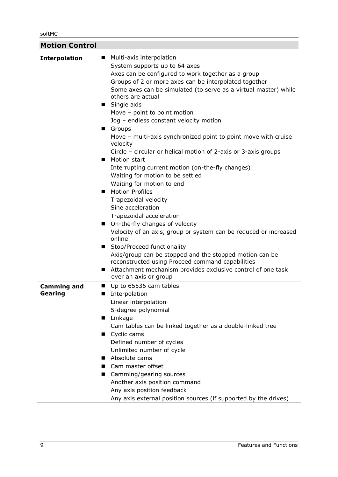softMC

<span id="page-8-0"></span>

| <b>Motion Control</b>         |                                                                                                                                                                                                                                                                                                                                                                                                                                                                                                                                                                                                                                                                                                                                                                                                                                                                                                                                                                                                                                                                                                                             |
|-------------------------------|-----------------------------------------------------------------------------------------------------------------------------------------------------------------------------------------------------------------------------------------------------------------------------------------------------------------------------------------------------------------------------------------------------------------------------------------------------------------------------------------------------------------------------------------------------------------------------------------------------------------------------------------------------------------------------------------------------------------------------------------------------------------------------------------------------------------------------------------------------------------------------------------------------------------------------------------------------------------------------------------------------------------------------------------------------------------------------------------------------------------------------|
| <b>Interpolation</b>          | ■ Multi-axis interpolation<br>System supports up to 64 axes<br>Axes can be configured to work together as a group<br>Groups of 2 or more axes can be interpolated together<br>Some axes can be simulated (to serve as a virtual master) while<br>others are actual<br>■ Single axis<br>Move - point to point motion<br>Jog - endless constant velocity motion<br>Groups<br>Move - multi-axis synchronized point to point move with cruise<br>velocity<br>Circle – circular or helical motion of 2-axis or 3-axis groups<br>Motion start<br>Interrupting current motion (on-the-fly changes)<br>Waiting for motion to be settled<br>Waiting for motion to end<br><b>Motion Profiles</b><br>Trapezoidal velocity<br>Sine acceleration<br>Trapezoidal acceleration<br>■ On-the-fly changes of velocity<br>Velocity of an axis, group or system can be reduced or increased<br>online<br>Stop/Proceed functionality<br>Axis/group can be stopped and the stopped motion can be<br>reconstructed using Proceed command capabilities<br>Attachment mechanism provides exclusive control of one task<br>ш<br>over an axis or group |
| <b>Camming and</b><br>Gearing | Up to 65536 cam tables<br>■<br>Interpolation<br>■<br>Linear interpolation<br>5-degree polynomial<br>■ Linkage<br>Cam tables can be linked together as a double-linked tree<br>Cyclic cams<br>ш<br>Defined number of cycles<br>Unlimited number of cycle<br>Absolute cams<br>■<br>Cam master offset<br>Camming/gearing sources<br>Another axis position command<br>Any axis position feedback<br>Any axis external position sources (if supported by the drives)                                                                                                                                                                                                                                                                                                                                                                                                                                                                                                                                                                                                                                                             |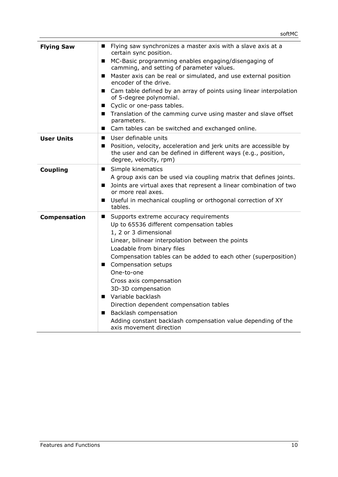| <b>Flying Saw</b>   | Flying saw synchronizes a master axis with a slave axis at a<br>certain sync position.                                                                        |
|---------------------|---------------------------------------------------------------------------------------------------------------------------------------------------------------|
|                     | ■ MC-Basic programming enables engaging/disengaging of<br>camming, and setting of parameter values.                                                           |
|                     | Master axis can be real or simulated, and use external position<br>$\blacksquare$<br>encoder of the drive.                                                    |
|                     | ■ Cam table defined by an array of points using linear interpolation<br>of 5-degree polynomial.                                                               |
|                     | ■ Cyclic or one-pass tables.                                                                                                                                  |
|                     | ■ Translation of the camming curve using master and slave offset<br>parameters.                                                                               |
|                     | ■ Cam tables can be switched and exchanged online.                                                                                                            |
| <b>User Units</b>   | User definable units<br>■                                                                                                                                     |
|                     | Position, velocity, acceleration and jerk units are accessible by<br>the user and can be defined in different ways (e.g., position,<br>degree, velocity, rpm) |
| <b>Coupling</b>     | ■ Simple kinematics                                                                                                                                           |
|                     | A group axis can be used via coupling matrix that defines joints.                                                                                             |
|                     | Joints are virtual axes that represent a linear combination of two<br>or more real axes.                                                                      |
|                     | Useful in mechanical coupling or orthogonal correction of XY<br>tables.                                                                                       |
| <b>Compensation</b> | Supports extreme accuracy requirements<br>$\blacksquare$                                                                                                      |
|                     | Up to 65536 different compensation tables                                                                                                                     |
|                     | 1, 2 or 3 dimensional                                                                                                                                         |
|                     | Linear, bilinear interpolation between the points                                                                                                             |
|                     | Loadable from binary files                                                                                                                                    |
|                     | Compensation tables can be added to each other (superposition)                                                                                                |
|                     | Compensation setups                                                                                                                                           |
|                     | One-to-one                                                                                                                                                    |
|                     | Cross axis compensation                                                                                                                                       |
|                     | 3D-3D compensation                                                                                                                                            |
|                     | Variable backlash                                                                                                                                             |
|                     | Direction dependent compensation tables                                                                                                                       |
|                     | <b>Backlash compensation</b>                                                                                                                                  |
|                     | Adding constant backlash compensation value depending of the<br>axis movement direction                                                                       |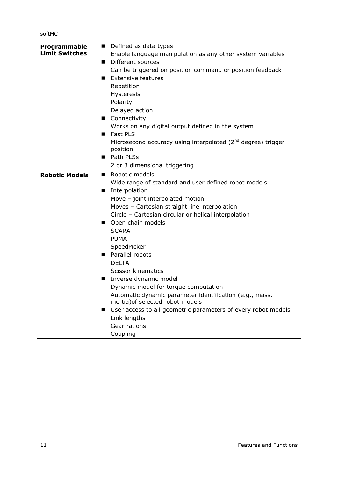| Programmable<br><b>Limit Switches</b> | Defined as data types<br>Enable language manipulation as any other system variables |
|---------------------------------------|-------------------------------------------------------------------------------------|
|                                       | Different sources<br>$\blacksquare$                                                 |
|                                       | Can be triggered on position command or position feedback                           |
|                                       | <b>Extensive features</b><br>■                                                      |
|                                       | Repetition                                                                          |
|                                       | Hysteresis                                                                          |
|                                       | Polarity                                                                            |
|                                       | Delayed action                                                                      |
|                                       | ■ Connectivity                                                                      |
|                                       | Works on any digital output defined in the system                                   |
|                                       | Fast PLS                                                                            |
|                                       | Microsecond accuracy using interpolated ( $2nd$ degree) trigger<br>position         |
|                                       | ■ Path PLSs                                                                         |
|                                       | 2 or 3 dimensional triggering                                                       |
| <b>Robotic Models</b>                 | Robotic models<br>п                                                                 |
|                                       | Wide range of standard and user defined robot models                                |
|                                       | Interpolation<br>■                                                                  |
|                                       | Move - joint interpolated motion                                                    |
|                                       | Moves - Cartesian straight line interpolation                                       |
|                                       | Circle - Cartesian circular or helical interpolation                                |
|                                       | Open chain models                                                                   |
|                                       | <b>SCARA</b>                                                                        |
|                                       | <b>PUMA</b>                                                                         |
|                                       | SpeedPicker<br>Parallel robots                                                      |
|                                       | <b>DELTA</b>                                                                        |
|                                       | <b>Scissor kinematics</b>                                                           |
|                                       | Inverse dynamic model<br>$\blacksquare$                                             |
|                                       | Dynamic model for torque computation                                                |
|                                       | Automatic dynamic parameter identification (e.g., mass,                             |
|                                       | inertia) of selected robot models                                                   |
|                                       | User access to all geometric parameters of every robot models                       |
|                                       | Link lengths                                                                        |
|                                       | Gear rations                                                                        |
|                                       | Coupling                                                                            |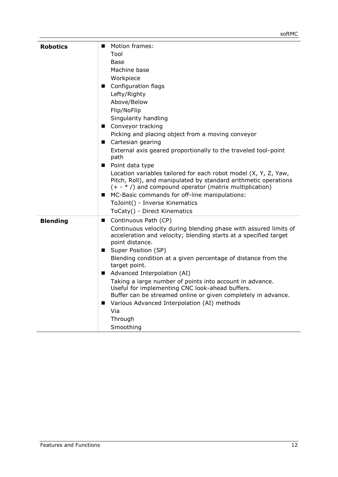| <b>Robotics</b> | <b>Motion frames:</b><br>Tool<br>Base<br>Machine base<br>Workpiece<br>■ Configuration flags<br>Lefty/Righty<br>Above/Below<br>Flip/NoFlip<br>Singularity handling<br>■ Conveyor tracking<br>Picking and placing object from a moving conveyor<br>■ Cartesian gearing<br>External axis geared proportionally to the traveled tool-point<br>path<br>■ Point data type<br>Location variables tailored for each robot model (X, Y, Z, Yaw,<br>Pitch, Roll), and manipulated by standard arithmetic operations<br>$(+ - *')$ and compound operator (matrix multiplication)<br>■ MC-Basic commands for off-line manipulations:<br>ToJoint() - Inverse Kinematics<br>ToCaty() - Direct Kinematics |
|-----------------|--------------------------------------------------------------------------------------------------------------------------------------------------------------------------------------------------------------------------------------------------------------------------------------------------------------------------------------------------------------------------------------------------------------------------------------------------------------------------------------------------------------------------------------------------------------------------------------------------------------------------------------------------------------------------------------------|
| <b>Blending</b> | Continuous Path (CP)<br>Continuous velocity during blending phase with assured limits of<br>acceleration and velocity; blending starts at a specified target<br>point distance.<br>■ Super Position (SP)<br>Blending condition at a given percentage of distance from the<br>target point.<br>Advanced Interpolation (AI)<br>Taking a large number of points into account in advance.<br>Useful for implementing CNC look-ahead buffers.<br>Buffer can be streamed online or given completely in advance.<br>■ Various Advanced Interpolation (AI) methods<br>Via<br>Through<br>Smoothing                                                                                                  |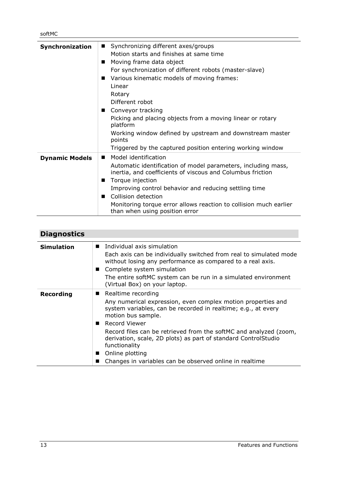| Synchronization       | Synchronizing different axes/groups<br>$\blacksquare$<br>Motion starts and finishes at same time<br>Moving frame data object<br>п<br>For synchronization of different robots (master-slave)<br>Various kinematic models of moving frames:<br>п<br>Linear<br>Rotary<br>Different robot<br>Conveyor tracking<br>Picking and placing objects from a moving linear or rotary<br>platform<br>Working window defined by upstream and downstream master<br>points<br>Triggered by the captured position entering working window |
|-----------------------|--------------------------------------------------------------------------------------------------------------------------------------------------------------------------------------------------------------------------------------------------------------------------------------------------------------------------------------------------------------------------------------------------------------------------------------------------------------------------------------------------------------------------|
| <b>Dynamic Models</b> | Model identification<br>Automatic identification of model parameters, including mass,<br>inertia, and coefficients of viscous and Columbus friction<br>Torque injection<br>Improving control behavior and reducing settling time<br>Collision detection<br>Monitoring torque error allows reaction to collision much earlier<br>than when using position error                                                                                                                                                           |

<span id="page-12-0"></span>

| <b>Diagnostics</b> |                                                                                                                                                                                                                                                                                                                                                                                                                                             |
|--------------------|---------------------------------------------------------------------------------------------------------------------------------------------------------------------------------------------------------------------------------------------------------------------------------------------------------------------------------------------------------------------------------------------------------------------------------------------|
| <b>Simulation</b>  | ■ Individual axis simulation<br>Each axis can be individually switched from real to simulated mode<br>without losing any performance as compared to a real axis.<br>■ Complete system simulation<br>The entire softMC system can be run in a simulated environment<br>(Virtual Box) on your laptop.                                                                                                                                         |
| <b>Recording</b>   | ■ Realtime recording<br>Any numerical expression, even complex motion properties and<br>system variables, can be recorded in realtime; e.g., at every<br>motion bus sample.<br>■ Record Viewer<br>Record files can be retrieved from the softMC and analyzed (zoom,<br>derivation, scale, 2D plots) as part of standard ControlStudio<br>functionality<br>Online plotting<br>. .<br>Changes in variables can be observed online in realtime |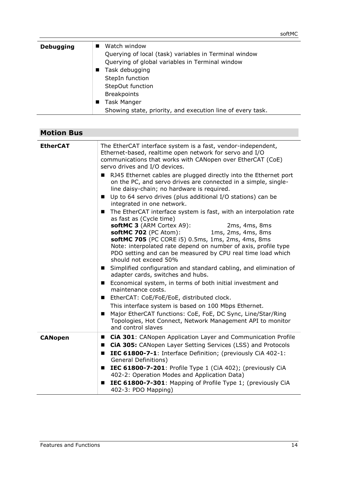| <b>Debugging</b> | Watch window                                               |
|------------------|------------------------------------------------------------|
|                  | Querying of local (task) variables in Terminal window      |
|                  | Querying of global variables in Terminal window            |
|                  | Task debugging<br>$\blacksquare$                           |
|                  | StepIn function                                            |
|                  | StepOut function                                           |
|                  | <b>Breakpoints</b>                                         |
|                  | <b>Task Manger</b>                                         |
|                  | Showing state, priority, and execution line of every task. |

<span id="page-13-0"></span>

| <b>Motion Bus</b> |                                                                                                                                                                                                                                                                                                                                                                                                                                                                                                                                                                                                                                                                                                                                                                                                                                                                                                                                                                                                                                                                                                                                                                                                                                                                                                                                                                                                                                                 |
|-------------------|-------------------------------------------------------------------------------------------------------------------------------------------------------------------------------------------------------------------------------------------------------------------------------------------------------------------------------------------------------------------------------------------------------------------------------------------------------------------------------------------------------------------------------------------------------------------------------------------------------------------------------------------------------------------------------------------------------------------------------------------------------------------------------------------------------------------------------------------------------------------------------------------------------------------------------------------------------------------------------------------------------------------------------------------------------------------------------------------------------------------------------------------------------------------------------------------------------------------------------------------------------------------------------------------------------------------------------------------------------------------------------------------------------------------------------------------------|
| <b>EtherCAT</b>   | The EtherCAT interface system is a fast, vendor-independent,<br>Ethernet-based, realtime open network for servo and I/O<br>communications that works with CANopen over EtherCAT (CoE)<br>servo drives and I/O devices.<br>RJ45 Ethernet cables are plugged directly into the Ethernet port<br>on the PC, and servo drives are connected in a simple, single-<br>line daisy-chain; no hardware is required.<br>Up to 64 servo drives (plus additional I/O stations) can be<br>$\blacksquare$<br>integrated in one network.<br>The EtherCAT interface system is fast, with an interpolation rate<br>$\blacksquare$<br>as fast as (Cycle time)<br>softMC 3 (ARM Cortex A9):<br>2ms, 4ms, 8ms<br>softMC 702 (PC Atom):<br>1ms, 2ms, 4ms, 8ms<br>softMC 705 (PC CORE i5) 0.5ms, 1ms, 2ms, 4ms, 8ms<br>Note: interpolated rate depend on number of axis, profile type<br>PDO setting and can be measured by CPU real time load which<br>should not exceed 50%<br>Simplified configuration and standard cabling, and elimination of<br>$\mathbf{r}$<br>adapter cards, switches and hubs.<br>Economical system, in terms of both initial investment and<br>maintenance costs.<br>EtherCAT: CoE/FoE/EoE, distributed clock.<br>$\blacksquare$<br>This interface system is based on 100 Mbps Ethernet.<br>Major EtherCAT functions: CoE, FoE, DC Sync, Line/Star/Ring<br>Topologies, Hot Connect, Network Management API to monitor<br>and control slaves |
| <b>CANopen</b>    | <b>E</b> CiA 301: CANopen Application Layer and Communication Profile<br><b>CiA 305:</b> CANopen Layer Setting Services (LSS) and Protocols<br>IEC 61800-7-1: Interface Definition; (previously CiA 402-1:<br>■<br><b>General Definitions)</b><br>IEC 61800-7-201: Profile Type 1 (CiA 402); (previously CiA<br>■<br>402-2: Operation Modes and Application Data)<br>IEC 61800-7-301: Mapping of Profile Type 1; (previously CiA<br>402-3: PDO Mapping)                                                                                                                                                                                                                                                                                                                                                                                                                                                                                                                                                                                                                                                                                                                                                                                                                                                                                                                                                                                         |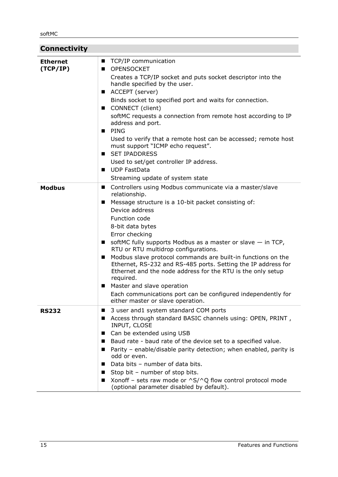<span id="page-14-0"></span>

| <b>Connectivity</b>         |                                                                                                                                                                                                                                                                                                                                                                                                                                                                                                                                                                                                                                                                                                                            |
|-----------------------------|----------------------------------------------------------------------------------------------------------------------------------------------------------------------------------------------------------------------------------------------------------------------------------------------------------------------------------------------------------------------------------------------------------------------------------------------------------------------------------------------------------------------------------------------------------------------------------------------------------------------------------------------------------------------------------------------------------------------------|
| <b>Ethernet</b><br>(TCP/IP) | ■ TCP/IP communication<br>OPENSOCKET<br>Creates a TCP/IP socket and puts socket descriptor into the<br>handle specified by the user.<br>■ ACCEPT (server)<br>Binds socket to specified port and waits for connection.<br>CONNECT (client)<br>softMC requests a connection from remote host according to IP<br>address and port.<br>PING<br>Used to verify that a remote host can be accessed; remote host<br>must support "ICMP echo request".<br><b>SET IPADDRESS</b><br>Used to set/get controller IP address.<br>UDP FastData<br>Streaming update of system state                                                                                                                                                       |
| <b>Modbus</b>               | Controllers using Modbus communicate via a master/slave<br>$\mathbf{r}$<br>relationship.<br>Message structure is a 10-bit packet consisting of:<br>Device address<br>Function code<br>8-bit data bytes<br>Error checking<br>softMC fully supports Modbus as a master or slave $-$ in TCP,<br>$\blacksquare$<br>RTU or RTU multidrop configurations.<br>Modbus slave protocol commands are built-in functions on the<br>$\blacksquare$<br>Ethernet, RS-232 and RS-485 ports. Setting the IP address for<br>Ethernet and the node address for the RTU is the only setup<br>required.<br>Master and slave operation<br>ш<br>Each communications port can be configured independently for<br>either master or slave operation. |
| <b>RS232</b>                | 3 user and1 system standard COM ports<br>ш<br>Access through standard BASIC channels using: OPEN, PRINT,<br>ш<br>INPUT, CLOSE<br>Can be extended using USB<br>ш<br>Baud rate - baud rate of the device set to a specified value.<br>Parity - enable/disable parity detection; when enabled, parity is<br>odd or even.<br>Data bits - number of data bits.<br>Stop bit - number of stop bits.<br>a se<br>Xonoff - sets raw mode or $\triangle S/\triangle Q$ flow control protocol mode<br>ш<br>(optional parameter disabled by default).                                                                                                                                                                                   |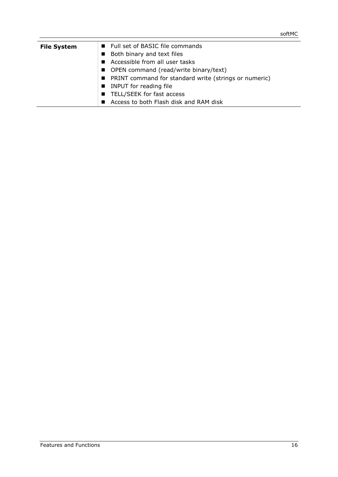| <b>File System</b> | ■ Full set of BASIC file commands                       |
|--------------------|---------------------------------------------------------|
|                    | ■ Both binary and text files                            |
|                    | Accessible from all user tasks                          |
|                    | ■ OPEN command (read/write binary/text)                 |
|                    | ■ PRINT command for standard write (strings or numeric) |
|                    | INPUT for reading file                                  |
|                    | ■ TELL/SEEK for fast access                             |
|                    | Access to both Flash disk and RAM disk                  |